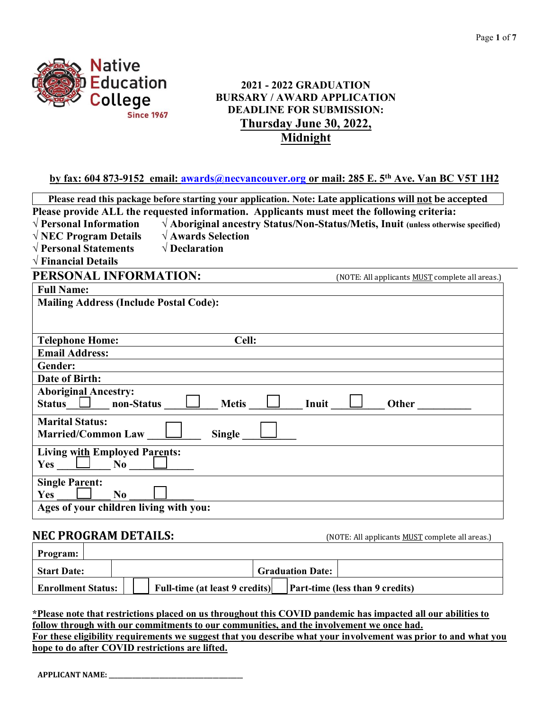

### **2021 - 2022 GRADUATION BURSARY / AWARD APPLICATION DEADLINE FOR SUBMISSION: Thursday June 30, 2022, Midnight**

**by fax: 604 873-9152 email: [awards@necvancouver.org](mailto:awards@necvancouver.org) or mail: 285 E. 5th Ave. Van BC V5T 1H2**

|                                                                                            | Please read this package before starting your application. Note: Late applications will not be accepted |
|--------------------------------------------------------------------------------------------|---------------------------------------------------------------------------------------------------------|
| Please provide ALL the requested information. Applicants must meet the following criteria: |                                                                                                         |
| $\sqrt{\rm\,Personal\ Information}$                                                        | $\sqrt{\text{Aboriginal}$ ancestry Status/Non-Status/Metis, Inuit (unless otherwise specified)          |
| $\sqrt{\mathbf{A}}$ wards Selection<br>$\sqrt{\text{NEC}}$ Program Details                 |                                                                                                         |
| $\sqrt{\text{Personal Statements}}$<br>$\sqrt{\mathbf{D}}$ <b>Declaration</b>              |                                                                                                         |
| $\sqrt{\text{Financial Details}}$                                                          |                                                                                                         |
| PERSONAL INFORMATION:                                                                      | (NOTE: All applicants <b>MUST</b> complete all areas.)                                                  |
| <b>Full Name:</b>                                                                          |                                                                                                         |
| <b>Mailing Address (Include Postal Code):</b>                                              |                                                                                                         |
|                                                                                            |                                                                                                         |
|                                                                                            |                                                                                                         |
| Cell:<br><b>Telephone Home:</b>                                                            |                                                                                                         |
| <b>Email Address:</b>                                                                      |                                                                                                         |
| Gender:                                                                                    |                                                                                                         |
| <b>Date of Birth:</b>                                                                      |                                                                                                         |
| <b>Aboriginal Ancestry:</b><br>Status $\Box$ non-Status<br><b>Metis</b>                    | Inuit<br>Other                                                                                          |
| <b>Marital Status:</b><br>Married/Common Law<br>Single                                     |                                                                                                         |
| <b>Living with Employed Parents:</b>                                                       |                                                                                                         |
| <b>Single Parent:</b><br><b>Yes</b><br>No                                                  |                                                                                                         |
| Ages of your children living with you:                                                     |                                                                                                         |
|                                                                                            |                                                                                                         |

# **NEC PROGRAM DETAILS:** (NOTE: All applicants MUST complete all areas.)

| <b>Program:</b>           |  |  |                                       |  |                         |                                        |  |
|---------------------------|--|--|---------------------------------------|--|-------------------------|----------------------------------------|--|
| <b>Start Date:</b>        |  |  |                                       |  | <b>Graduation Date:</b> |                                        |  |
| <b>Enrollment Status:</b> |  |  | <b>Full-time (at least 9 credits)</b> |  |                         | <b>Part-time (less than 9 credits)</b> |  |

#### **\*Please note that restrictions placed on us throughout this COVID pandemic has impacted all our abilities to follow through with our commitments to our communities, and the involvement we once had.**

**For these eligibility requirements we suggest that you describe what your involvement was prior to and what you hope to do after COVID restrictions are lifted.**

**APPLICANT NAME: \_\_\_\_\_\_\_\_\_\_\_\_\_\_\_\_\_\_\_\_\_\_\_\_\_\_\_\_\_\_\_\_\_\_\_\_\_\_\_\_\_\_\_\_\_**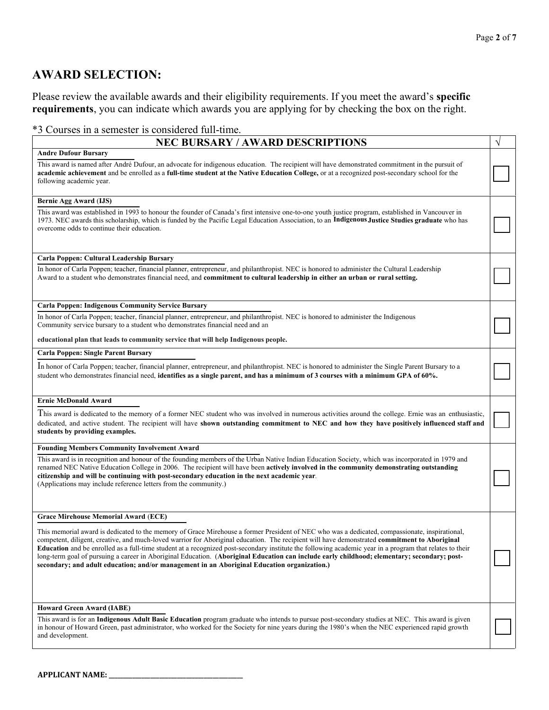### **AWARD SELECTION:**

Please review the available awards and their eligibility requirements. If you meet the award's **specific requirements**, you can indicate which awards you are applying for by checking the box on the right.

#### \*3 Courses in a semester is considered full-time.

| <b>NEC BURSARY / AWARD DESCRIPTIONS</b>                                                                                                                                                                                                                                                                                                                                                                                                                                                                                                                                                                                                                                                                                                                   |  |
|-----------------------------------------------------------------------------------------------------------------------------------------------------------------------------------------------------------------------------------------------------------------------------------------------------------------------------------------------------------------------------------------------------------------------------------------------------------------------------------------------------------------------------------------------------------------------------------------------------------------------------------------------------------------------------------------------------------------------------------------------------------|--|
| <b>Andre Dufour Bursary</b><br>This award is named after André Dufour, an advocate for indigenous education. The recipient will have demonstrated commitment in the pursuit of<br>academic achievement and be enrolled as a full-time student at the Native Education College, or at a recognized post-secondary school for the<br>following academic year.                                                                                                                                                                                                                                                                                                                                                                                               |  |
| <b>Bernie Agg Award (IJS)</b><br>This award was established in 1993 to honour the founder of Canada's first intensive one-to-one youth justice program, established in Vancouver in<br>1973. NEC awards this scholarship, which is funded by the Pacific Legal Education Association, to an Indigenous Justice Studies graduate who has<br>overcome odds to continue their education.                                                                                                                                                                                                                                                                                                                                                                     |  |
| Carla Poppen: Cultural Leadership Bursary<br>In honor of Carla Poppen; teacher, financial planner, entrepreneur, and philanthropist. NEC is honored to administer the Cultural Leadership<br>Award to a student who demonstrates financial need, and commitment to cultural leadership in either an urban or rural setting.                                                                                                                                                                                                                                                                                                                                                                                                                               |  |
| <b>Carla Poppen: Indigenous Community Service Bursary</b><br>In honor of Carla Poppen; teacher, financial planner, entrepreneur, and philanthropist. NEC is honored to administer the Indigenous<br>Community service bursary to a student who demonstrates financial need and an<br>educational plan that leads to community service that will help Indigenous people.                                                                                                                                                                                                                                                                                                                                                                                   |  |
| <b>Carla Poppen: Single Parent Bursary</b><br>In honor of Carla Poppen; teacher, financial planner, entrepreneur, and philanthropist. NEC is honored to administer the Single Parent Bursary to a<br>student who demonstrates financial need, identifies as a single parent, and has a minimum of 3 courses with a minimum GPA of 60%.                                                                                                                                                                                                                                                                                                                                                                                                                    |  |
| <b>Ernie McDonald Award</b><br>This award is dedicated to the memory of a former NEC student who was involved in numerous activities around the college. Ernie was an enthusiastic,<br>dedicated, and active student. The recipient will have shown outstanding commitment to NEC and how they have positively influenced staff and<br>students by providing examples.                                                                                                                                                                                                                                                                                                                                                                                    |  |
| <b>Founding Members Community Involvement Award</b><br>This award is in recognition and honour of the founding members of the Urban Native Indian Education Society, which was incorporated in 1979 and<br>renamed NEC Native Education College in 2006. The recipient will have been actively involved in the community demonstrating outstanding<br>citizenship and will be continuing with post-secondary education in the next academic year.<br>(Applications may include reference letters from the community.)                                                                                                                                                                                                                                     |  |
| <b>Grace Mirehouse Memorial Award (ECE)</b><br>This memorial award is dedicated to the memory of Grace Mirehouse a former President of NEC who was a dedicated, compassionate, inspirational,<br>competent, diligent, creative, and much-loved warrior for Aboriginal education. The recipient will have demonstrated commitment to Aboriginal<br>Education and be enrolled as a full-time student at a recognized post-secondary institute the following academic year in a program that relates to their<br>long-term goal of pursuing a career in Aboriginal Education. (Aboriginal Education can include early childhood; elementary; secondary; post-<br>secondary; and adult education; and/or management in an Aboriginal Education organization.) |  |
| <b>Howard Green Award (IABE)</b><br>This award is for an Indigenous Adult Basic Education program graduate who intends to pursue post-secondary studies at NEC. This award is given<br>in honour of Howard Green, past administrator, who worked for the Society for nine years during the 1980's when the NEC experienced rapid growth<br>and development.                                                                                                                                                                                                                                                                                                                                                                                               |  |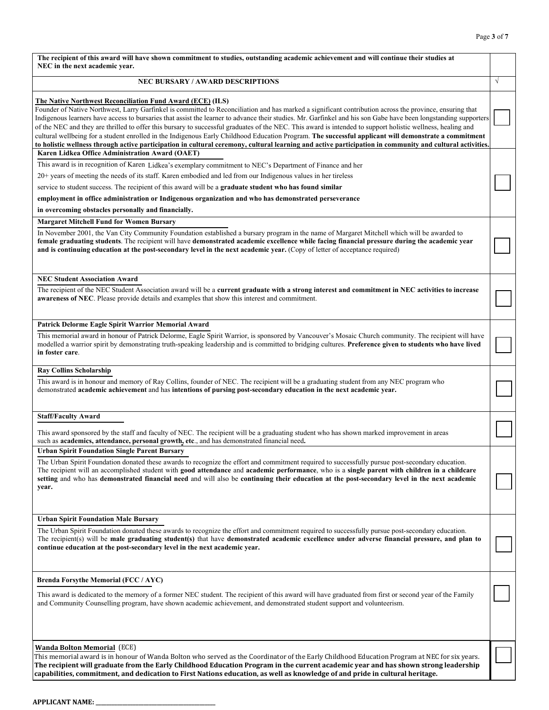| The recipient of this award will have shown commitment to studies, outstanding academic achievement and will continue their studies at<br>NEC in the next academic year.                                                                                                                                                                                                                                                                                                                                                                                                                                                                                                                                                                                                                                                                                                      |            |
|-------------------------------------------------------------------------------------------------------------------------------------------------------------------------------------------------------------------------------------------------------------------------------------------------------------------------------------------------------------------------------------------------------------------------------------------------------------------------------------------------------------------------------------------------------------------------------------------------------------------------------------------------------------------------------------------------------------------------------------------------------------------------------------------------------------------------------------------------------------------------------|------------|
| <b>NEC BURSARY / AWARD DESCRIPTIONS</b>                                                                                                                                                                                                                                                                                                                                                                                                                                                                                                                                                                                                                                                                                                                                                                                                                                       | $\sqrt{ }$ |
| The Native Northwest Reconciliation Fund Award (ECE) (ILS)<br>Founder of Native Northwest, Larry Garfinkel is committed to Reconciliation and has marked a significant contribution across the province, ensuring that<br>Indigenous learners have access to bursaries that assist the learner to advance their studies. Mr. Garfinkel and his son Gabe have been longstanding supporters<br>of the NEC and they are thrilled to offer this bursary to successful graduates of the NEC. This award is intended to support holistic wellness, healing and<br>cultural wellbeing for a student enrolled in the Indigenous Early Childhood Education Program. The successful applicant will demonstrate a commitment<br>to holistic wellness through active participation in cultural ceremony, cultural learning and active participation in community and cultural activities. |            |
| Karen Lidkea Office Administration Award (OAET)<br>This award is in recognition of Karen Lidkea's exemplary commitment to NEC's Department of Finance and her<br>$20+$ years of meeting the needs of its staff. Karen embodied and led from our Indigenous values in her tireless<br>service to student success. The recipient of this award will be a graduate student who has found similar<br>employment in office administration or Indigenous organization and who has demonstrated perseverance<br>in overcoming obstacles personally and financially.                                                                                                                                                                                                                                                                                                                  |            |
| <b>Margaret Mitchell Fund for Women Bursary</b><br>In November 2001, the Van City Community Foundation established a bursary program in the name of Margaret Mitchell which will be awarded to<br>female graduating students. The recipient will have demonstrated academic excellence while facing financial pressure during the academic year<br>and is continuing education at the post-secondary level in the next academic year. (Copy of letter of acceptance required)                                                                                                                                                                                                                                                                                                                                                                                                 |            |
| <b>NEC Student Association Award</b><br>The recipient of the NEC Student Association award will be a current graduate with a strong interest and commitment in NEC activities to increase<br>awareness of NEC. Please provide details and examples that show this interest and commitment.                                                                                                                                                                                                                                                                                                                                                                                                                                                                                                                                                                                    |            |
| Patrick Delorme Eagle Spirit Warrior Memorial Award<br>This memorial award in honour of Patrick Delorme, Eagle Spirit Warrior, is sponsored by Vancouver's Mosaic Church community. The recipient will have<br>modelled a warrior spirit by demonstrating truth-speaking leadership and is committed to bridging cultures. Preference given to students who have lived<br>in foster care.                                                                                                                                                                                                                                                                                                                                                                                                                                                                                     |            |
| <b>Ray Collins Scholarship</b><br>This award is in honour and memory of Ray Collins, founder of NEC. The recipient will be a graduating student from any NEC program who<br>demonstrated academic achievement and has intentions of pursing post-secondary education in the next academic year.                                                                                                                                                                                                                                                                                                                                                                                                                                                                                                                                                                               |            |
| <b>Staff/Faculty Award</b><br>This award sponsored by the staff and faculty of NEC. The recipient will be a graduating student who has shown marked improvement in areas<br>such as academics, attendance, personal growth, etc., and has demonstrated financial need.                                                                                                                                                                                                                                                                                                                                                                                                                                                                                                                                                                                                        |            |
| <b>Urban Spirit Foundation Single Parent Bursary</b><br>The Urban Spirit Foundation donated these awards to recognize the effort and commitment required to successfully pursue post-secondary education.<br>The recipient will an accomplished student with good attendance and academic performance, who is a single parent with children in a childcare<br>setting and who has demonstrated financial need and will also be continuing their education at the post-secondary level in the next academic<br>year.                                                                                                                                                                                                                                                                                                                                                           |            |
| <b>Urban Spirit Foundation Male Bursary</b><br>The Urban Spirit Foundation donated these awards to recognize the effort and commitment required to successfully pursue post-secondary education.<br>The recipient(s) will be male graduating student(s) that have demonstrated academic excellence under adverse financial pressure, and plan to<br>continue education at the post-secondary level in the next academic year.                                                                                                                                                                                                                                                                                                                                                                                                                                                 |            |
| <b>Brenda Forsythe Memorial (FCC / AYC)</b><br>This award is dedicated to the memory of a former NEC student. The recipient of this award will have graduated from first or second year of the Family<br>and Community Counselling program, have shown academic achievement, and demonstrated student support and volunteerism.                                                                                                                                                                                                                                                                                                                                                                                                                                                                                                                                               |            |
| <b>Wanda Bolton Memorial (ECE)</b><br>This memorial award is in honour of Wanda Bolton who served as the Coordinator of the Early Childhood Education Program at NEC for six years.<br>The recipient will graduate from the Early Childhood Education Program in the current academic year and has shown strong leadership<br>capabilities, commitment, and dedication to First Nations education, as well as knowledge of and pride in cultural heritage.                                                                                                                                                                                                                                                                                                                                                                                                                    |            |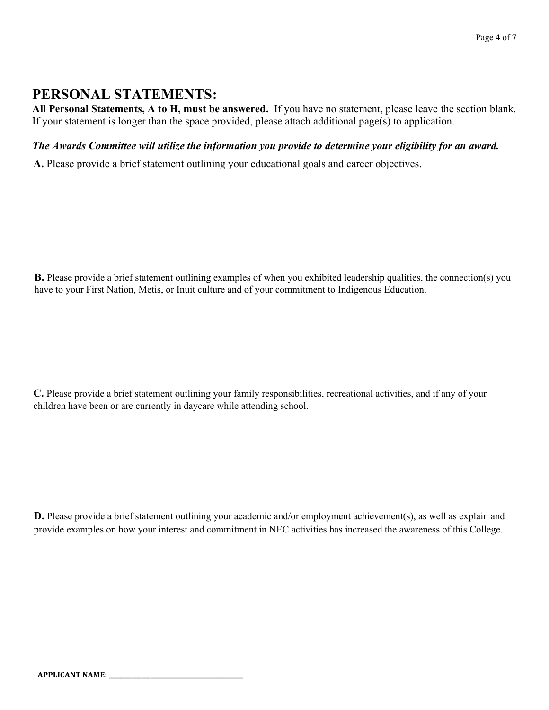## **PERSONAL STATEMENTS:**

**All Personal Statements, A to H, must be answered.** If you have no statement, please leave the section blank. If your statement is longer than the space provided, please attach additional page(s) to application.

#### *The Awards Committee will utilize the information you provide to determine your eligibility for an award.*

**A.** Please provide a brief statement outlining your educational goals and career objectives.

**B.** Please provide a brief statement outlining examples of when you exhibited leadership qualities, the connection(s) you have to your First Nation, Metis, or Inuit culture and of your commitment to Indigenous Education.

**C.** Please provide a brief statement outlining your family responsibilities, recreational activities, and if any of your children have been or are currently in daycare while attending school.

**D.** Please provide a brief statement outlining your academic and/or employment achievement(s), as well as explain and provide examples on how your interest and commitment in NEC activities has increased the awareness of this College.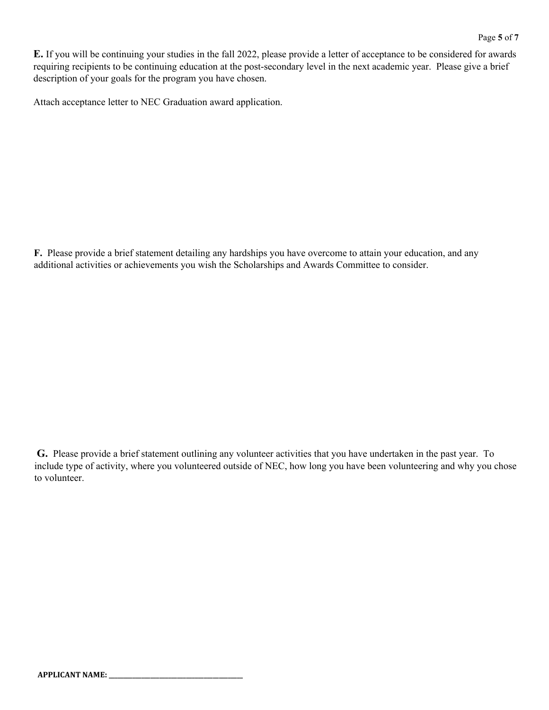**E.** If you will be continuing your studies in the fall 2022, please provide a letter of acceptance to be considered for awards requiring recipients to be continuing education at the post-secondary level in the next academic year. Please give a brief description of your goals for the program you have chosen.

Attach acceptance letter to NEC Graduation award application.

**F.** Please provide a brief statement detailing any hardships you have overcome to attain your education, and any additional activities or achievements you wish the Scholarships and Awards Committee to consider.

**G.** Please provide a brief statement outlining any volunteer activities that you have undertaken in the past year. To include type of activity, where you volunteered outside of NEC, how long you have been volunteering and why you chose to volunteer.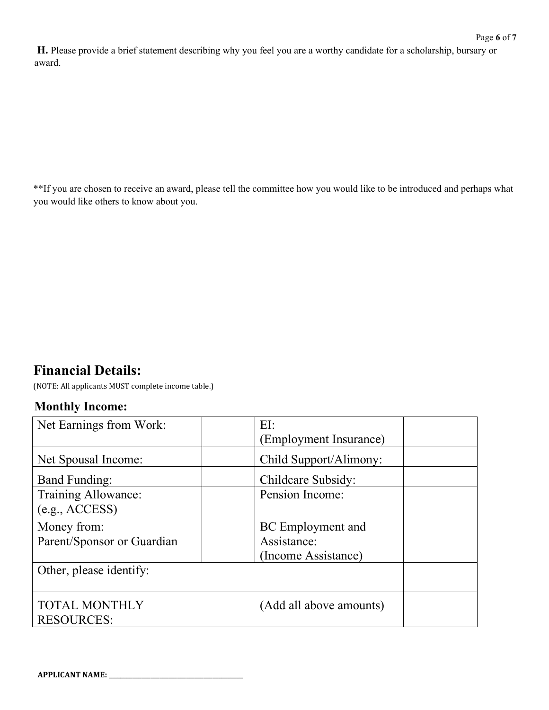**H.** Please provide a brief statement describing why you feel you are a worthy candidate for a scholarship, bursary or award.

\*\*If you are chosen to receive an award, please tell the committee how you would like to be introduced and perhaps what you would like others to know about you.

# **Financial Details:**

(NOTE: All applicants MUST complete income table.)

### **Monthly Income:**

| Net Earnings from Work:                   | EI:<br>(Employment Insurance)                                  |
|-------------------------------------------|----------------------------------------------------------------|
| Net Spousal Income:                       | Child Support/Alimony:                                         |
| <b>Band Funding:</b>                      | Childcare Subsidy:                                             |
| Training Allowance:<br>(e.g., ACCESS)     | Pension Income:                                                |
| Money from:<br>Parent/Sponsor or Guardian | <b>BC</b> Employment and<br>Assistance:<br>(Income Assistance) |
| Other, please identify:                   |                                                                |
| <b>TOTAL MONTHLY</b><br><b>RESOURCES:</b> | ١O<br>(Add all above amounts)                                  |